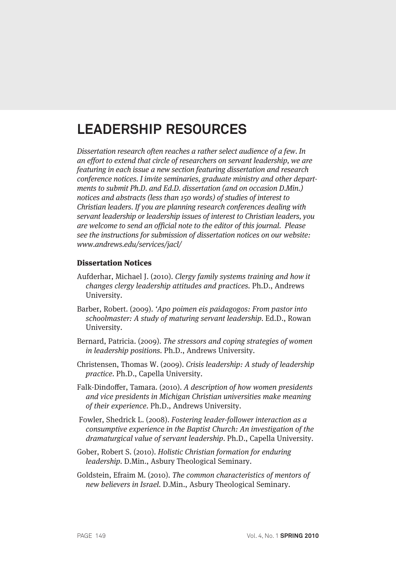## **LEADERSHIP RESOURCES**

Dissertation research often reaches a rather select audience of a few. In an effort to extend that circle of researchers on servant leadership, we are featuring in each issue a new section featuring dissertation and research conference notices. I invite seminaries, graduate ministry and other departments to submit Ph.D. and Ed.D. dissertation (and on occasion D.Min.) notices and abstracts (less than 150 words) of studies of interest to Christian leaders. If you are planning research conferences dealing with servant leadership or leadership issues of interest to Christian leaders, you are welcome to send an official note to the editor of this journal. Please see the instructions for submission of dissertation notices on our website: www.andrews.edu/services/jacl/

## Dissertation Notices

- Aufderhar, Michael J. (2010). Clergy family systems training and how it changes clergy leadership attitudes and practices. Ph.D., Andrews University.
- Barber, Robert. (2009). 'Apo poimen eis paidagogos: From pastor into schoolmaster: A study of maturing servant leadership. Ed.D., Rowan University.
- Bernard, Patricia. (2009). The stressors and coping strategies of women in leadership positions. Ph.D., Andrews University.
- Christensen, Thomas W. (2009). Crisis leadership: A study of leadership practice. Ph.D., Capella University.
- Falk-Dindoffer, Tamara. (2010). A description of how women presidents and vice presidents in Michigan Christian universities make meaning of their experience. Ph.D., Andrews University.
- Fowler, Shedrick L. (2008). Fostering leader-follower interaction as a consumptive experience in the Baptist Church: An investigation of the dramaturgical value of servant leadership. Ph.D., Capella University.
- Gober, Robert S. (2010). Holistic Christian formation for enduring leadership. D.Min., Asbury Theological Seminary.

Goldstein, Efraim M. (2010). The common characteristics of mentors of new believers in Israel. D.Min., Asbury Theological Seminary.